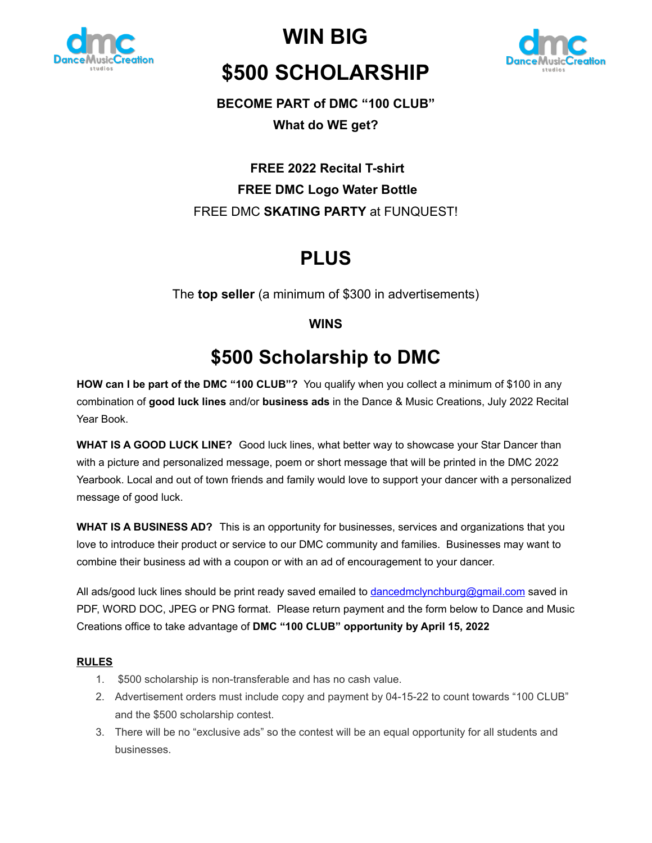

**WIN BIG \$500 SCHOLARSHIP**



# **BECOME PART of DMC "100 CLUB"**

**What do WE get?**

### **FREE 2022 Recital T-shirt FREE DMC Logo Water Bottle** FREE DMC **SKATING PARTY** at FUNQUEST!

# **PLUS**

The **top seller** (a minimum of \$300 in advertisements)

### **WINS**

# **\$500 Scholarship to DMC**

**HOW can I be part of the DMC "100 CLUB"?** You qualify when you collect a minimum of \$100 in any combination of **good luck lines** and/or **business ads** in the Dance & Music Creations, July 2022 Recital Year Book.

**WHAT IS A GOOD LUCK LINE?** Good luck lines, what better way to showcase your Star Dancer than with a picture and personalized message, poem or short message that will be printed in the DMC 2022 Yearbook. Local and out of town friends and family would love to support your dancer with a personalized message of good luck.

**WHAT IS A BUSINESS AD?** This is an opportunity for businesses, services and organizations that you love to introduce their product or service to our DMC community and families. Businesses may want to combine their business ad with a coupon or with an ad of encouragement to your dancer.

All ads/good luck lines should be print ready saved emailed to dancedmclynchburg@gmail.com saved in PDF, WORD DOC, JPEG or PNG format. Please return payment and the form below to Dance and Music Creations office to take advantage of **DMC "100 CLUB" opportunity by April 15, 2022**

#### **RULES**

- 1. \$500 scholarship is non-transferable and has no cash value.
- 2. Advertisement orders must include copy and payment by 04-15-22 to count towards "100 CLUB" and the \$500 scholarship contest.
- 3. There will be no "exclusive ads" so the contest will be an equal opportunity for all students and businesses.